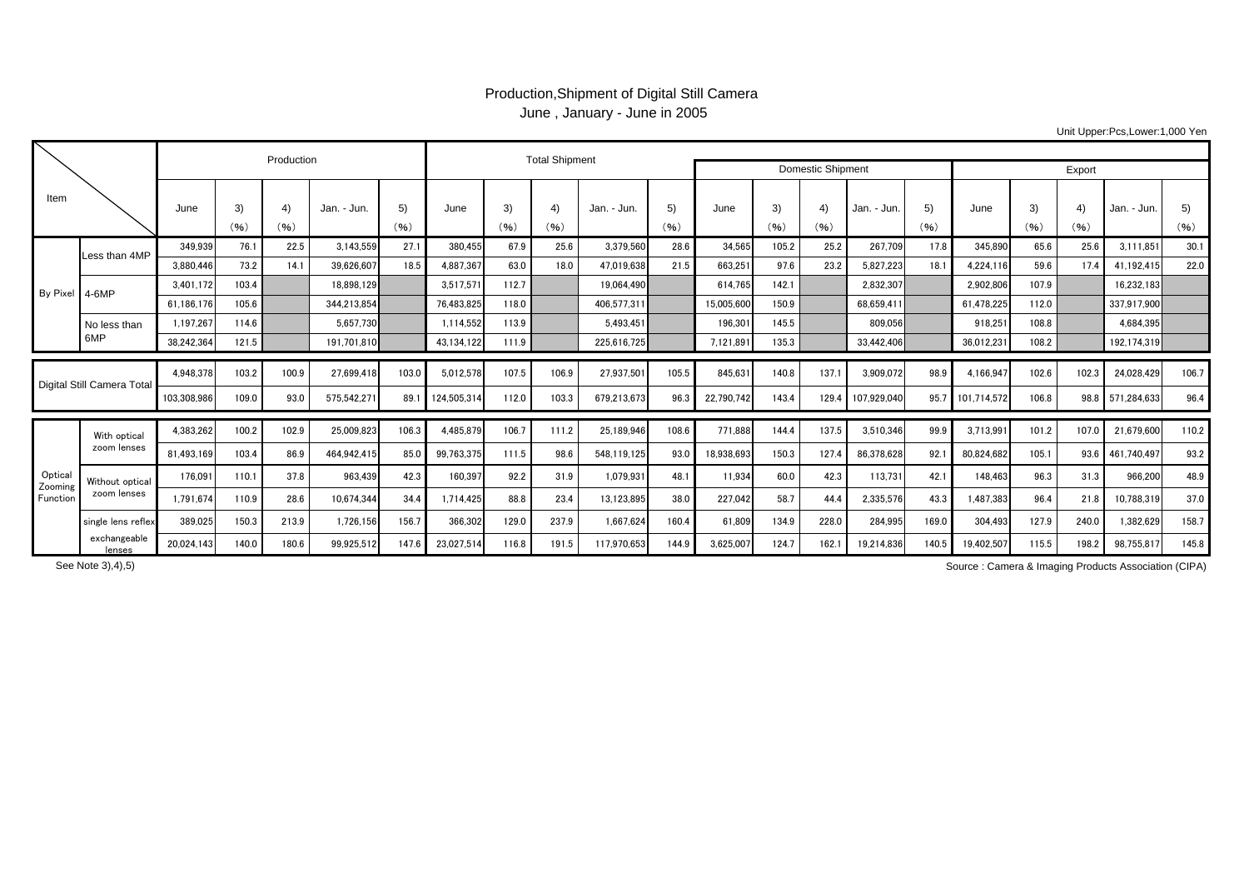## Production,Shipment of Digital Still Camera June , January - June in 2005

Unit Upper:Pcs,Lower:1,000 Yen

|                               |                             |             |            | Production |             |            |             | <b>Total Shipment</b> |            |             |            |                   |            |            |             |            |             |            |                        |             |            |
|-------------------------------|-----------------------------|-------------|------------|------------|-------------|------------|-------------|-----------------------|------------|-------------|------------|-------------------|------------|------------|-------------|------------|-------------|------------|------------------------|-------------|------------|
|                               |                             |             |            |            |             |            |             |                       |            |             |            | Domestic Shipment | Export     |            |             |            |             |            |                        |             |            |
| Item                          |                             | June        | 3)<br>(96) | 4)<br>(96) | Jan. - Jun. | 5)<br>(96) | June        | 3)<br>(96)            | 4)<br>(96) | Jan. - Jun. | 5)<br>(96) | June              | 3)<br>(96) | 4)<br>(96) | Jan. - Jun. | 5)<br>(96) | June        | 3)<br>(96) | $\overline{4}$<br>(96) | Jan. - Jun. | 5)<br>(96) |
| By Pixel                      | Less than 4MP               | 349,939     | 76.1       | 22.5       | 3,143,559   | 27.1       | 380,455     | 67.9                  | 25.6       | 3,379,560   | 28.6       | 34,565            | 105.2      | 25.2       | 267,709     | 17.8       | 345,890     | 65.6       | 25.6                   | 3.111.851   | 30.1       |
|                               |                             | 3.880.446   | 73.2       | 14.1       | 39.626.607  | 18.5       | 4,887,367   | 63.0                  | 18.0       | 47.019.638  | 21.5       | 663,251           | 97.6       | 23.2       | 5,827,223   | 18.1       | 4,224,116   | 59.6       | 17.4                   | 41,192,415  | 22.0       |
|                               | $4-6MP$                     | 3.401.172   | 103.4      |            | 18.898.129  |            | 3,517,571   | 112.7                 |            | 19.064.490  |            | 614.765           | 142.1      |            | 2.832.307   |            | 2.902.806   | 107.9      |                        | 16.232.183  |            |
|                               |                             | 61.186.176  | 105.6      |            | 344.213.854 |            | 76.483.825  | 118.0                 |            | 406.577.311 |            | 15,005,600        | 150.9      |            | 68.659.411  |            | 61.478.22   | 112.0      |                        | 337.917.900 |            |
|                               | No less than<br>6MP         | 1,197,267   | 114.6      |            | 5.657.730   |            | 1.114.552   | 113.9                 |            | 5.493.451   |            | 196.301           | 145.5      |            | 809.056     |            | 918.25      | 108.8      |                        | 4.684.395   |            |
|                               |                             | 38,242,364  | 121.5      |            | 191.701.810 |            | 43.134.122  | 111.9                 |            | 225.616.725 |            | 7.121.891         | 135.3      |            | 33.442.406  |            | 36.012.23   | 108.2      |                        | 192,174,319 |            |
| Digital Still Camera Total    |                             | 4,948,378   | 103.2      | 100.9      | 27,699,418  | 103.0      | 5,012,578   | 107.5                 | 106.9      | 27,937,501  | 105.5      | 845,631           | 140.8      | 137.       | 3,909,072   | 98.9       | 4,166,947   | 102.6      | 102.3                  | 24,028,429  | 106.7      |
|                               |                             | 103,308,986 | 109.0      | 93.0       | 575,542,271 | 89.1       | 124,505,314 | 112.0                 | 103.3      | 679,213,673 | 96.3       | 22,790,742        | 143.4      | 129.4      | 107,929,040 | 95.7       | 101.714.572 | 106.8      | 98.8                   | 571,284,633 | 96.4       |
| Optica<br>Zooming<br>Function | With optical<br>zoom lenses | 4,383,262   | 100.2      | 102.9      | 25.009.823  | 106.3      | 4.485.879   | 106.7                 | 111.2      | 25.189.946  | 108.6      | 771.888           | 144.4      | 137.5      | 3.510.346   | 99.9       | 3.713.991   | 101.2      | 107.0                  | 21.679.600  | 110.2      |
|                               |                             | 81,493,169  | 103.4      | 86.9       | 464.942.415 | 85.0       | 99,763,375  | 111.5                 | 98.6       | 548.119.125 | 93.0       | 18.938.693        | 150.3      | 127.4      | 86,378,628  | 92.1       | 80.824.68   | 105.1      | 93.6                   | 461.740.497 | 93.2       |
|                               | Without optical             | 176.091     | 110.1      | 37.8       | 963,439     | 42.3       | 160.397     | 92.2                  | 31.9       | 1.079.931   | 48.1       | 11.934            | 60.0       | 42.3       | 113,731     | 42.1       | 148.463     | 96.3       | 31.3                   | 966.200     | 48.9       |
|                               | zoom lenses                 | 1,791,674   | 110.9      | 28.6       | 10.674.344  | 34.4       | 1.714.425   | 88.8                  | 23.4       | 13.123.895  | 38.0       | 227.042           | 58.7       | 44.4       | 2,335,576   | 43.3       | 1.487.383   | 96.4       | 21.8                   | 10.788.319  | 37.0       |
|                               | single lens reflex          | 389.025     | 150.3      | 213.9      | 1,726,156   | 156.7      | 366,302     | 129.0                 | 237.9      | 1.667.624   | 160.4      | 61.809            | 134.9      | 228.0      | 284,995     | 169.0      | 304.493     | 127.9      | 240.0                  | 1,382,629   | 158.7      |
|                               | exchangeable<br>lenses      | 20,024,143  | 140.0      | 180.6      | 99,925,512  | 147.6      | 23,027,514  | 116.8                 | 191.5      | 117,970,653 | 144.9      | 3,625,007         | 124.7      | 162.       | 19,214,836  | 140.5      | 19,402,50   | 115.5      | 198.2                  | 98,755,817  | 145.8      |

See Note 3),4),5)

Source : Camera & Imaging Products Association (CIPA)